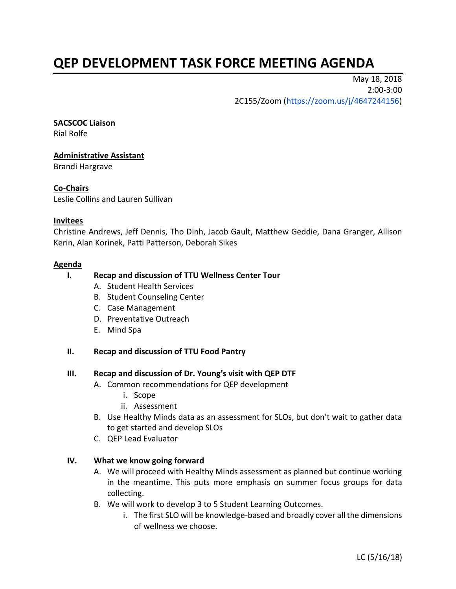# **QEP DEVELOPMENT TASK FORCE MEETING AGENDA**

May 18, 2018 2:00-3:00 2C155/Zoom [\(https://zoom.us/j/4647244156\)](https://zoom.us/j/4647244156)

#### **SACSCOC Liaison**

Rial Rolfe

## **Administrative Assistant**

Brandi Hargrave

## **Co-Chairs**

Leslie Collins and Lauren Sullivan

#### **Invitees**

Christine Andrews, Jeff Dennis, Tho Dinh, Jacob Gault, Matthew Geddie, Dana Granger, Allison Kerin, Alan Korinek, Patti Patterson, Deborah Sikes

#### **Agenda**

#### **I. Recap and discussion of TTU Wellness Center Tour**

- A. Student Health Services
- B. Student Counseling Center
- C. Case Management
- D. Preventative Outreach
- E. Mind Spa

## **II. Recap and discussion of TTU Food Pantry**

## **III. Recap and discussion of Dr. Young's visit with QEP DTF**

- A. Common recommendations for QEP development
	- i. Scope
	- ii. Assessment
- B. Use Healthy Minds data as an assessment for SLOs, but don't wait to gather data to get started and develop SLOs
- C. QEP Lead Evaluator

## **IV. What we know going forward**

- A. We will proceed with Healthy Minds assessment as planned but continue working in the meantime. This puts more emphasis on summer focus groups for data collecting.
- B. We will work to develop 3 to 5 Student Learning Outcomes.
	- i. The first SLO will be knowledge-based and broadly cover all the dimensions of wellness we choose.